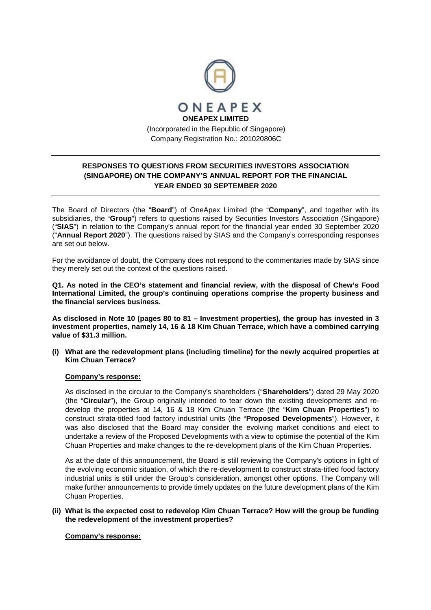

# **RESPONSES TO QUESTIONS FROM SECURITIES INVESTORS ASSOCIATION (SINGAPORE) ON THE COMPANY'S ANNUAL REPORT FOR THE FINANCIAL YEAR ENDED 30 SEPTEMBER 2020**

The Board of Directors (the "**Board**") of OneApex Limited (the "**Company**", and together with its subsidiaries, the "**Group**") refers to questions raised by Securities Investors Association (Singapore) ("**SIAS**") in relation to the Company's annual report for the financial year ended 30 September 2020 ("**Annual Report 2020**"). The questions raised by SIAS and the Company's corresponding responses are set out below.

For the avoidance of doubt, the Company does not respond to the commentaries made by SIAS since they merely set out the context of the questions raised.

**Q1. As noted in the CEO's statement and financial review, with the disposal of Chew's Food International Limited, the group's continuing operations comprise the property business and the financial services business.** 

**As disclosed in Note 10 (pages 80 to 81 – Investment properties), the group has invested in 3 investment properties, namely 14, 16 & 18 Kim Chuan Terrace, which have a combined carrying value of \$31.3 million.** 

**(i) What are the redevelopment plans (including timeline) for the newly acquired properties at Kim Chuan Terrace?** 

## **Company's response:**

As disclosed in the circular to the Company's shareholders ("**Shareholders**") dated 29 May 2020 (the "**Circular**"), the Group originally intended to tear down the existing developments and redevelop the properties at 14, 16 & 18 Kim Chuan Terrace (the "**Kim Chuan Properties**") to construct strata-titled food factory industrial units (the "**Proposed Developments**"). However, it was also disclosed that the Board may consider the evolving market conditions and elect to undertake a review of the Proposed Developments with a view to optimise the potential of the Kim Chuan Properties and make changes to the re-development plans of the Kim Chuan Properties.

As at the date of this announcement, the Board is still reviewing the Company's options in light of the evolving economic situation, of which the re-development to construct strata-titled food factory industrial units is still under the Group's consideration, amongst other options. The Company will make further announcements to provide timely updates on the future development plans of the Kim Chuan Properties.

## **(ii) What is the expected cost to redevelop Kim Chuan Terrace? How will the group be funding the redevelopment of the investment properties?**

## **Company's response:**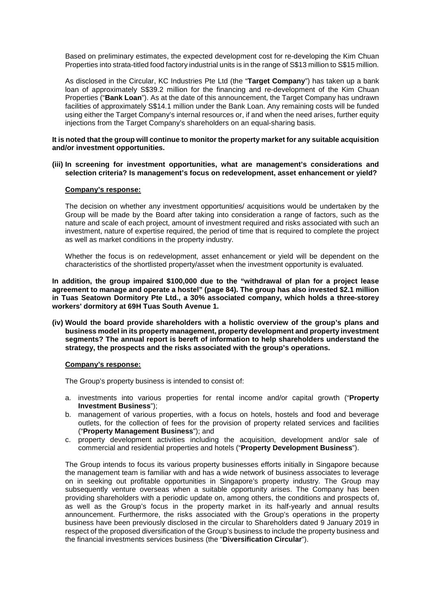Based on preliminary estimates, the expected development cost for re-developing the Kim Chuan Properties into strata-titled food factory industrial units is in the range of S\$13 million to S\$15 million.

As disclosed in the Circular, KC Industries Pte Ltd (the "**Target Company**") has taken up a bank loan of approximately S\$39.2 million for the financing and re-development of the Kim Chuan Properties ("**Bank Loan**"). As at the date of this announcement, the Target Company has undrawn facilities of approximately S\$14.1 million under the Bank Loan. Any remaining costs will be funded using either the Target Company's internal resources or, if and when the need arises, further equity injections from the Target Company's shareholders on an equal-sharing basis.

#### **It is noted that the group will continue to monitor the property market for any suitable acquisition and/or investment opportunities.**

#### **(iii) In screening for investment opportunities, what are management's considerations and selection criteria? Is management's focus on redevelopment, asset enhancement or yield?**

## **Company's response:**

The decision on whether any investment opportunities/ acquisitions would be undertaken by the Group will be made by the Board after taking into consideration a range of factors, such as the nature and scale of each project, amount of investment required and risks associated with such an investment, nature of expertise required, the period of time that is required to complete the project as well as market conditions in the property industry.

Whether the focus is on redevelopment, asset enhancement or yield will be dependent on the characteristics of the shortlisted property/asset when the investment opportunity is evaluated.

**In addition, the group impaired \$100,000 due to the "withdrawal of plan for a project lease agreement to manage and operate a hostel" (page 84). The group has also invested \$2.1 million in Tuas Seatown Dormitory Pte Ltd., a 30% associated company, which holds a three-storey workers' dormitory at 69H Tuas South Avenue 1.** 

**(iv) Would the board provide shareholders with a holistic overview of the group's plans and business model in its property management, property development and property investment segments? The annual report is bereft of information to help shareholders understand the strategy, the prospects and the risks associated with the group's operations.** 

## **Company's response:**

The Group's property business is intended to consist of:

- a. investments into various properties for rental income and/or capital growth ("**Property Investment Business**");
- b. management of various properties, with a focus on hotels, hostels and food and beverage outlets, for the collection of fees for the provision of property related services and facilities ("**Property Management Business**"); and
- c. property development activities including the acquisition, development and/or sale of commercial and residential properties and hotels ("**Property Development Business**").

The Group intends to focus its various property businesses efforts initially in Singapore because the management team is familiar with and has a wide network of business associates to leverage on in seeking out profitable opportunities in Singapore's property industry. The Group may subsequently venture overseas when a suitable opportunity arises. The Company has been providing shareholders with a periodic update on, among others, the conditions and prospects of, as well as the Group's focus in the property market in its half-yearly and annual results announcement. Furthermore, the risks associated with the Group's operations in the property business have been previously disclosed in the circular to Shareholders dated 9 January 2019 in respect of the proposed diversification of the Group's business to include the property business and the financial investments services business (the "**Diversification Circular**").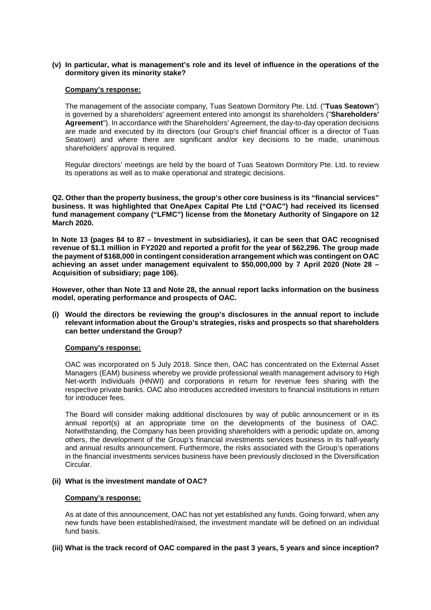## **(v) In particular, what is management's role and its level of influence in the operations of the dormitory given its minority stake?**

## **Company's response:**

The management of the associate company, Tuas Seatown Dormitory Pte. Ltd. ("**Tuas Seatown**") is governed by a shareholders' agreement entered into amongst its shareholders ("**Shareholders' Agreement**"). In accordance with the Shareholders' Agreement, the day-to-day operation decisions are made and executed by its directors (our Group's chief financial officer is a director of Tuas Seatown) and where there are significant and/or key decisions to be made, unanimous shareholders' approval is required.

Regular directors' meetings are held by the board of Tuas Seatown Dormitory Pte. Ltd. to review its operations as well as to make operational and strategic decisions.

**Q2. Other than the property business, the group's other core business is its "financial services" business. It was highlighted that OneApex Capital Pte Ltd ("OAC") had received its licensed fund management company ("LFMC") license from the Monetary Authority of Singapore on 12 March 2020.** 

**In Note 13 (pages 84 to 87 – Investment in subsidiaries), it can be seen that OAC recognised revenue of \$1.1 million in FY2020 and reported a profit for the year of \$62,296. The group made the payment of \$168,000 in contingent consideration arrangement which was contingent on OAC achieving an asset under management equivalent to \$50,000,000 by 7 April 2020 (Note 28 – Acquisition of subsidiary; page 106).** 

**However, other than Note 13 and Note 28, the annual report lacks information on the business model, operating performance and prospects of OAC.** 

**(i) Would the directors be reviewing the group's disclosures in the annual report to include relevant information about the Group's strategies, risks and prospects so that shareholders can better understand the Group?** 

## **Company's response:**

OAC was incorporated on 5 July 2018. Since then, OAC has concentrated on the External Asset Managers (EAM) business whereby we provide professional wealth management advisory to High Net-worth Individuals (HNWI) and corporations in return for revenue fees sharing with the respective private banks. OAC also introduces accredited investors to financial institutions in return for introducer fees.

The Board will consider making additional disclosures by way of public announcement or in its annual report(s) at an appropriate time on the developments of the business of OAC. Notwithstanding, the Company has been providing shareholders with a periodic update on, among others, the development of the Group's financial investments services business in its half-yearly and annual results announcement. Furthermore, the risks associated with the Group's operations in the financial investments services business have been previously disclosed in the Diversification Circular.

## **(ii) What is the investment mandate of OAC?**

## **Company's response:**

As at date of this announcement, OAC has not yet established any funds. Going forward, when any new funds have been established/raised, the investment mandate will be defined on an individual fund basis.

## **(iii) What is the track record of OAC compared in the past 3 years, 5 years and since inception?**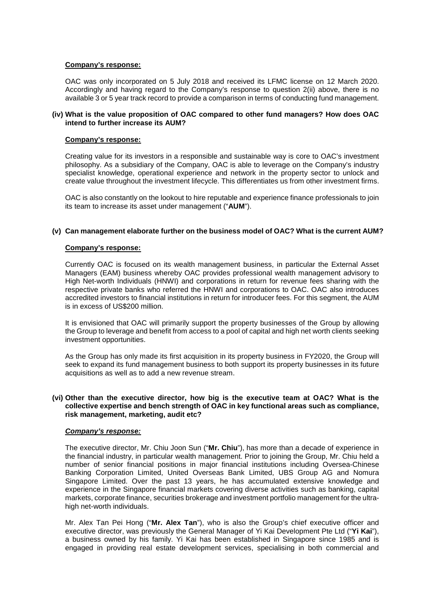## **Company's response:**

OAC was only incorporated on 5 July 2018 and received its LFMC license on 12 March 2020. Accordingly and having regard to the Company's response to question 2(ii) above, there is no available 3 or 5 year track record to provide a comparison in terms of conducting fund management.

## **(iv) What is the value proposition of OAC compared to other fund managers? How does OAC intend to further increase its AUM?**

## **Company's response:**

Creating value for its investors in a responsible and sustainable way is core to OAC's investment philosophy. As a subsidiary of the Company, OAC is able to leverage on the Company's industry specialist knowledge, operational experience and network in the property sector to unlock and create value throughout the investment lifecycle. This differentiates us from other investment firms.

OAC is also constantly on the lookout to hire reputable and experience finance professionals to join its team to increase its asset under management ("**AUM**").

## **(v) Can management elaborate further on the business model of OAC? What is the current AUM?**

## **Company's response:**

Currently OAC is focused on its wealth management business, in particular the External Asset Managers (EAM) business whereby OAC provides professional wealth management advisory to High Net-worth Individuals (HNWI) and corporations in return for revenue fees sharing with the respective private banks who referred the HNWI and corporations to OAC. OAC also introduces accredited investors to financial institutions in return for introducer fees. For this segment, the AUM is in excess of US\$200 million.

It is envisioned that OAC will primarily support the property businesses of the Group by allowing the Group to leverage and benefit from access to a pool of capital and high net worth clients seeking investment opportunities.

As the Group has only made its first acquisition in its property business in FY2020, the Group will seek to expand its fund management business to both support its property businesses in its future acquisitions as well as to add a new revenue stream.

## **(vi) Other than the executive director, how big is the executive team at OAC? What is the collective expertise and bench strength of OAC in key functional areas such as compliance, risk management, marketing, audit etc?**

## *Company's response:*

The executive director, Mr. Chiu Joon Sun ("**Mr. Chiu**"), has more than a decade of experience in the financial industry, in particular wealth management. Prior to joining the Group, Mr. Chiu held a number of senior financial positions in major financial institutions including Oversea-Chinese Banking Corporation Limited, United Overseas Bank Limited, UBS Group AG and Nomura Singapore Limited. Over the past 13 years, he has accumulated extensive knowledge and experience in the Singapore financial markets covering diverse activities such as banking, capital markets, corporate finance, securities brokerage and investment portfolio management for the ultrahigh net-worth individuals.

Mr. Alex Tan Pei Hong ("**Mr. Alex Tan**"), who is also the Group's chief executive officer and executive director, was previously the General Manager of Yi Kai Development Pte Ltd ("**Yi Kai**"), a business owned by his family. Yi Kai has been established in Singapore since 1985 and is engaged in providing real estate development services, specialising in both commercial and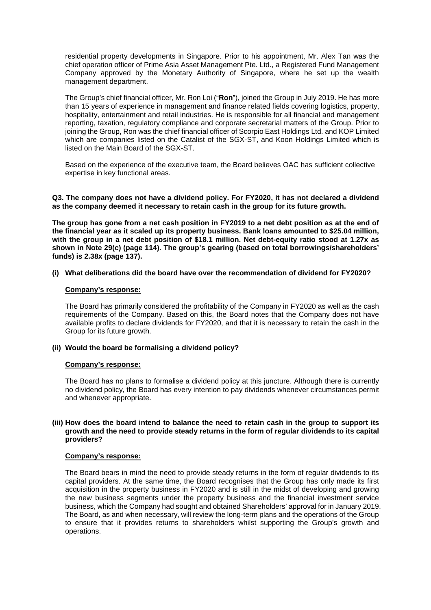residential property developments in Singapore. Prior to his appointment, Mr. Alex Tan was the chief operation officer of Prime Asia Asset Management Pte. Ltd., a Registered Fund Management Company approved by the Monetary Authority of Singapore, where he set up the wealth management department.

The Group's chief financial officer, Mr. Ron Loi ("**Ron**"), joined the Group in July 2019. He has more than 15 years of experience in management and finance related fields covering logistics, property, hospitality, entertainment and retail industries. He is responsible for all financial and management reporting, taxation, regulatory compliance and corporate secretarial matters of the Group. Prior to joining the Group, Ron was the chief financial officer of Scorpio East Holdings Ltd. and KOP Limited which are companies listed on the Catalist of the SGX-ST, and Koon Holdings Limited which is listed on the Main Board of the SGX-ST.

Based on the experience of the executive team, the Board believes OAC has sufficient collective expertise in key functional areas.

**Q3. The company does not have a dividend policy. For FY2020, it has not declared a dividend as the company deemed it necessary to retain cash in the group for its future growth.** 

**The group has gone from a net cash position in FY2019 to a net debt position as at the end of the financial year as it scaled up its property business. Bank loans amounted to \$25.04 million, with the group in a net debt position of \$18.1 million. Net debt-equity ratio stood at 1.27x as shown in Note 29(c) (page 114). The group's gearing (based on total borrowings/shareholders' funds) is 2.38x (page 137).** 

## **(i) What deliberations did the board have over the recommendation of dividend for FY2020?**

## **Company's response:**

The Board has primarily considered the profitability of the Company in FY2020 as well as the cash requirements of the Company. Based on this, the Board notes that the Company does not have available profits to declare dividends for FY2020, and that it is necessary to retain the cash in the Group for its future growth.

## **(ii) Would the board be formalising a dividend policy?**

## **Company's response:**

The Board has no plans to formalise a dividend policy at this juncture. Although there is currently no dividend policy, the Board has every intention to pay dividends whenever circumstances permit and whenever appropriate.

## **(iii) How does the board intend to balance the need to retain cash in the group to support its growth and the need to provide steady returns in the form of regular dividends to its capital providers?**

## **Company's response:**

The Board bears in mind the need to provide steady returns in the form of regular dividends to its capital providers. At the same time, the Board recognises that the Group has only made its first acquisition in the property business in FY2020 and is still in the midst of developing and growing the new business segments under the property business and the financial investment service business, which the Company had sought and obtained Shareholders' approval for in January 2019. The Board, as and when necessary, will review the long-term plans and the operations of the Group to ensure that it provides returns to shareholders whilst supporting the Group's growth and operations.